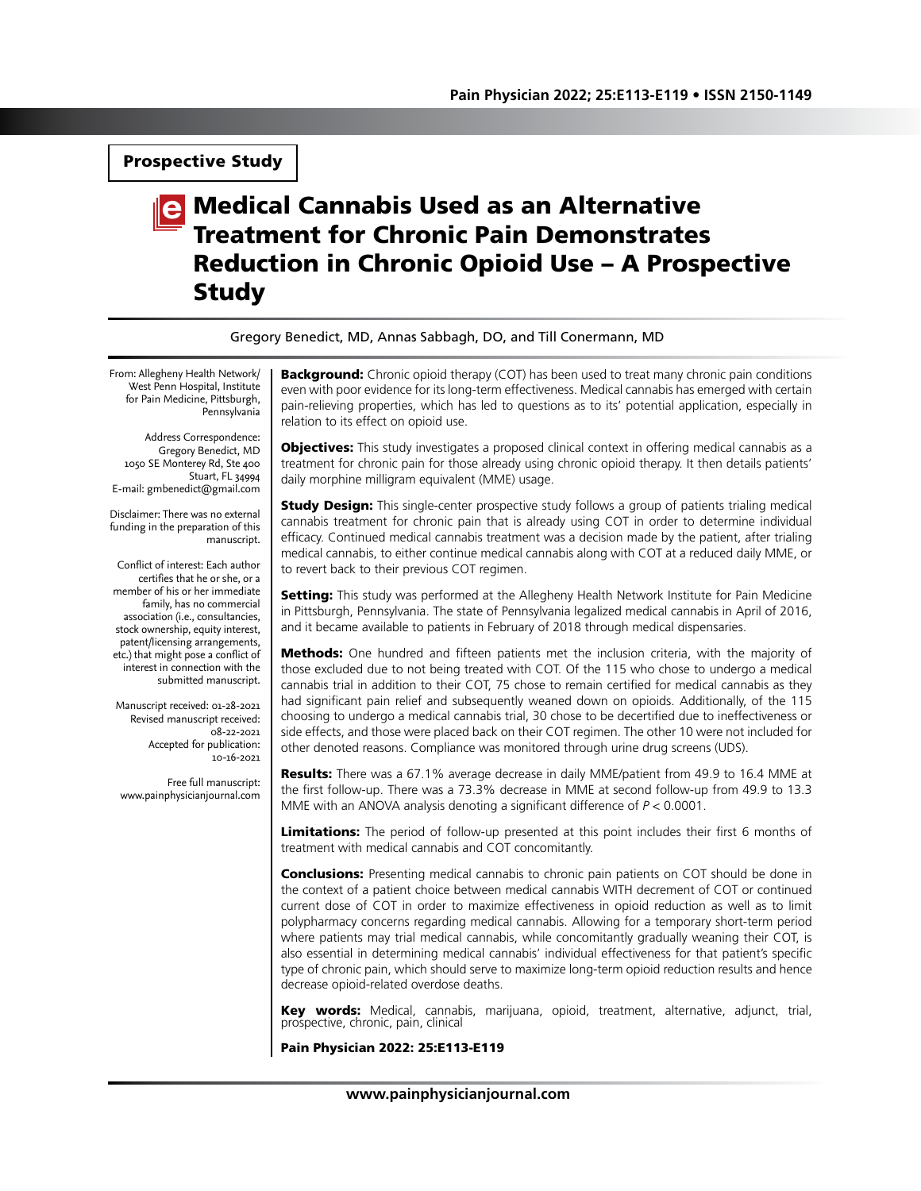Prospective Study

# Medical Cannabis Used as an Alternative Treatment for Chronic Pain Demonstrates Reduction in Chronic Opioid Use – A Prospective Study

Gregory Benedict, MD, Annas Sabbagh, DO, and Till Conermann, MD

From: Allegheny Health Network/ West Penn Hospital, Institute for Pain Medicine, Pittsburgh, **Pennsylvania** 

Address Correspondence: Gregory Benedict, MD 1050 SE Monterey Rd, Ste 400 Stuart, FL 34994 E-mail: gmbenedict@gmail.com

Disclaimer: There was no external funding in the preparation of this manuscript.

Conflict of interest: Each author certifies that he or she, or a member of his or her immediate family, has no commercial association (i.e., consultancies, stock ownership, equity interest, patent/licensing arrangements, etc.) that might pose a conflict of interest in connection with the submitted manuscript.

Manuscript received: 01-28-2021 Revised manuscript received: 08-22-2021 Accepted for publication: 10-16-2021

Free full manuscript: www.painphysicianjournal.com **Background:** Chronic opioid therapy (COT) has been used to treat many chronic pain conditions even with poor evidence for its long-term effectiveness. Medical cannabis has emerged with certain pain-relieving properties, which has led to questions as to its' potential application, especially in relation to its effect on opioid use.

**Objectives:** This study investigates a proposed clinical context in offering medical cannabis as a treatment for chronic pain for those already using chronic opioid therapy. It then details patients' daily morphine milligram equivalent (MME) usage.

**Study Design:** This single-center prospective study follows a group of patients trialing medical cannabis treatment for chronic pain that is already using COT in order to determine individual efficacy. Continued medical cannabis treatment was a decision made by the patient, after trialing medical cannabis, to either continue medical cannabis along with COT at a reduced daily MME, or to revert back to their previous COT regimen.

Setting: This study was performed at the Allegheny Health Network Institute for Pain Medicine in Pittsburgh, Pennsylvania. The state of Pennsylvania legalized medical cannabis in April of 2016, and it became available to patients in February of 2018 through medical dispensaries.

**Methods:** One hundred and fifteen patients met the inclusion criteria, with the majority of those excluded due to not being treated with COT. Of the 115 who chose to undergo a medical cannabis trial in addition to their COT, 75 chose to remain certified for medical cannabis as they had significant pain relief and subsequently weaned down on opioids. Additionally, of the 115 choosing to undergo a medical cannabis trial, 30 chose to be decertified due to ineffectiveness or side effects, and those were placed back on their COT regimen. The other 10 were not included for other denoted reasons. Compliance was monitored through urine drug screens (UDS).

**Results:** There was a 67.1% average decrease in daily MME/patient from 49.9 to 16.4 MME at the first follow-up. There was a 73.3% decrease in MME at second follow-up from 49.9 to 13.3 MME with an ANOVA analysis denoting a significant difference of *P* < 0.0001.

Limitations: The period of follow-up presented at this point includes their first 6 months of treatment with medical cannabis and COT concomitantly.

**Conclusions:** Presenting medical cannabis to chronic pain patients on COT should be done in the context of a patient choice between medical cannabis WITH decrement of COT or continued current dose of COT in order to maximize effectiveness in opioid reduction as well as to limit polypharmacy concerns regarding medical cannabis. Allowing for a temporary short-term period where patients may trial medical cannabis, while concomitantly gradually weaning their COT, is also essential in determining medical cannabis' individual effectiveness for that patient's specific type of chronic pain, which should serve to maximize long-term opioid reduction results and hence decrease opioid-related overdose deaths.

Key words: Medical, cannabis, marijuana, opioid, treatment, alternative, adjunct, trial, prospective, chronic, pain, clinical

Pain Physician 2022: 25:E113-E119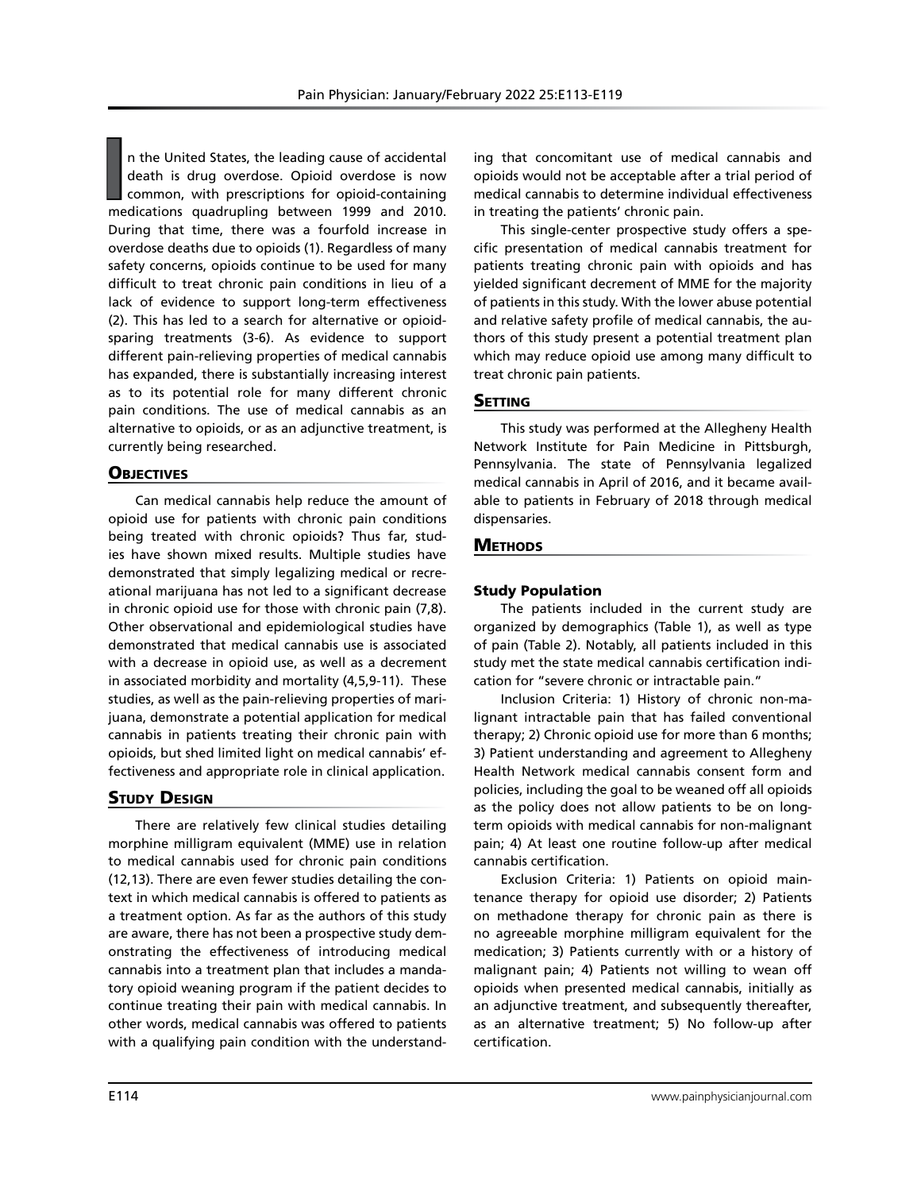I
I
n the United States, the leading cause of accidental
death is drug overdose. Opioid overdose is now
common, with prescriptions for opioid-containing
medications quadrupling between 1999 and 2010. n the United States, the leading cause of accidental death is drug overdose. Opioid overdose is now common, with prescriptions for opioid-containing During that time, there was a fourfold increase in overdose deaths due to opioids (1). Regardless of many safety concerns, opioids continue to be used for many difficult to treat chronic pain conditions in lieu of a lack of evidence to support long-term effectiveness (2). This has led to a search for alternative or opioidsparing treatments (3-6). As evidence to support different pain-relieving properties of medical cannabis has expanded, there is substantially increasing interest as to its potential role for many different chronic pain conditions. The use of medical cannabis as an alternative to opioids, or as an adjunctive treatment, is currently being researched.

## **OBJECTIVES**

Can medical cannabis help reduce the amount of opioid use for patients with chronic pain conditions being treated with chronic opioids? Thus far, studies have shown mixed results. Multiple studies have demonstrated that simply legalizing medical or recreational marijuana has not led to a significant decrease in chronic opioid use for those with chronic pain (7,8). Other observational and epidemiological studies have demonstrated that medical cannabis use is associated with a decrease in opioid use, as well as a decrement in associated morbidity and mortality (4,5,9-11). These studies, as well as the pain-relieving properties of marijuana, demonstrate a potential application for medical cannabis in patients treating their chronic pain with opioids, but shed limited light on medical cannabis' effectiveness and appropriate role in clinical application.

# **STUDY DESIGN**

There are relatively few clinical studies detailing morphine milligram equivalent (MME) use in relation to medical cannabis used for chronic pain conditions (12,13). There are even fewer studies detailing the context in which medical cannabis is offered to patients as a treatment option. As far as the authors of this study are aware, there has not been a prospective study demonstrating the effectiveness of introducing medical cannabis into a treatment plan that includes a mandatory opioid weaning program if the patient decides to continue treating their pain with medical cannabis. In other words, medical cannabis was offered to patients with a qualifying pain condition with the understanding that concomitant use of medical cannabis and opioids would not be acceptable after a trial period of medical cannabis to determine individual effectiveness in treating the patients' chronic pain.

This single-center prospective study offers a specific presentation of medical cannabis treatment for patients treating chronic pain with opioids and has yielded significant decrement of MME for the majority of patients in this study. With the lower abuse potential and relative safety profile of medical cannabis, the authors of this study present a potential treatment plan which may reduce opioid use among many difficult to treat chronic pain patients.

## **SETTING**

This study was performed at the Allegheny Health Network Institute for Pain Medicine in Pittsburgh, Pennsylvania. The state of Pennsylvania legalized medical cannabis in April of 2016, and it became available to patients in February of 2018 through medical dispensaries.

## **METHODS**

# Study Population

The patients included in the current study are organized by demographics (Table 1), as well as type of pain (Table 2). Notably, all patients included in this study met the state medical cannabis certification indication for "severe chronic or intractable pain."

Inclusion Criteria: 1) History of chronic non-malignant intractable pain that has failed conventional therapy; 2) Chronic opioid use for more than 6 months; 3) Patient understanding and agreement to Allegheny Health Network medical cannabis consent form and policies, including the goal to be weaned off all opioids as the policy does not allow patients to be on longterm opioids with medical cannabis for non-malignant pain; 4) At least one routine follow-up after medical cannabis certification.

Exclusion Criteria: 1) Patients on opioid maintenance therapy for opioid use disorder; 2) Patients on methadone therapy for chronic pain as there is no agreeable morphine milligram equivalent for the medication; 3) Patients currently with or a history of malignant pain; 4) Patients not willing to wean off opioids when presented medical cannabis, initially as an adjunctive treatment, and subsequently thereafter, as an alternative treatment; 5) No follow-up after certification.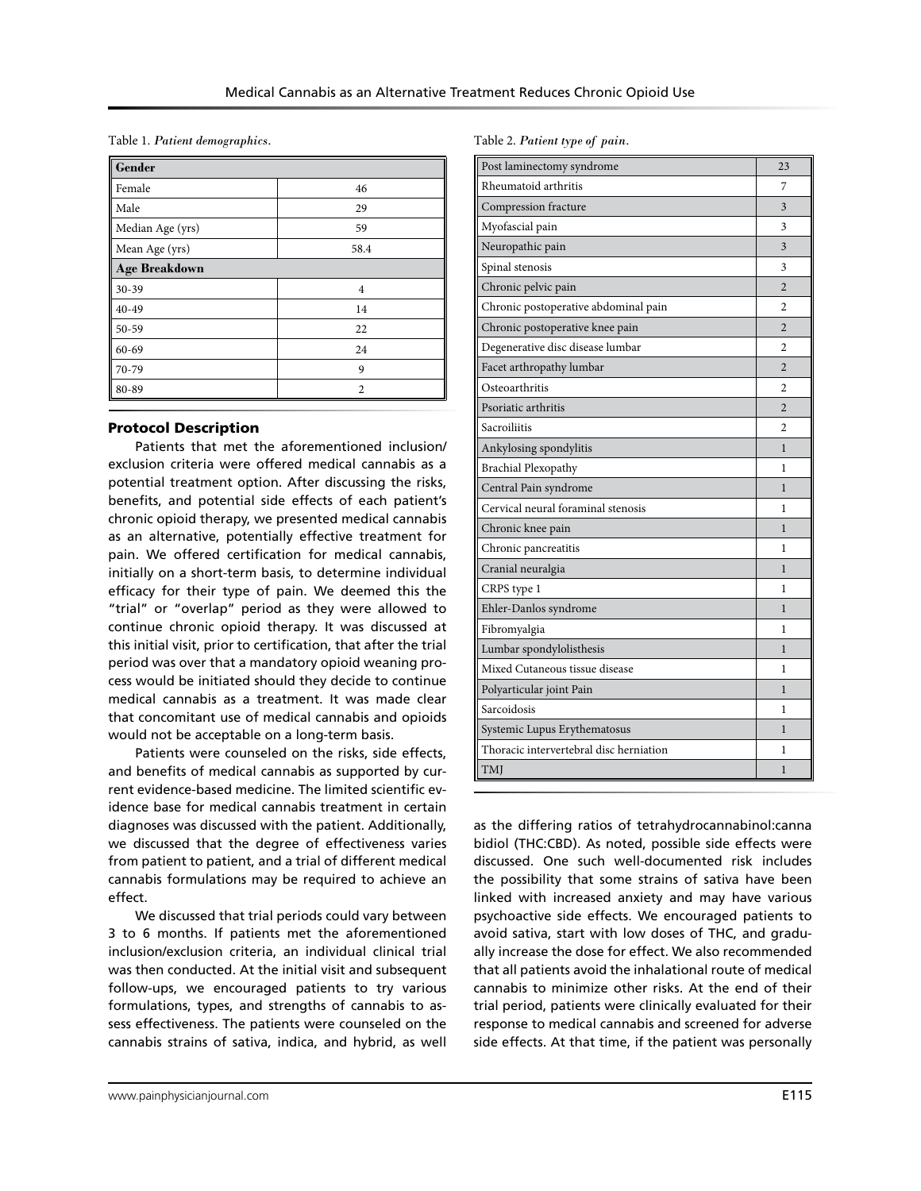Table 1. *Patient demographics.*

| Gender               |                |
|----------------------|----------------|
| Female               | 46             |
| Male                 | 29             |
| Median Age (yrs)     | 59             |
| Mean Age (yrs)       | 58.4           |
| <b>Age Breakdown</b> |                |
| 30-39                | $\overline{4}$ |
| $40 - 49$            | 14             |
| 50-59                | 22             |
| $60 - 69$            | 24             |
| 70-79                | 9              |
| 80-89                | $\overline{2}$ |

#### Protocol Description

Patients that met the aforementioned inclusion/ exclusion criteria were offered medical cannabis as a potential treatment option. After discussing the risks, benefits, and potential side effects of each patient's chronic opioid therapy, we presented medical cannabis as an alternative, potentially effective treatment for pain. We offered certification for medical cannabis, initially on a short-term basis, to determine individual efficacy for their type of pain. We deemed this the "trial" or "overlap" period as they were allowed to continue chronic opioid therapy. It was discussed at this initial visit, prior to certification, that after the trial period was over that a mandatory opioid weaning process would be initiated should they decide to continue medical cannabis as a treatment. It was made clear that concomitant use of medical cannabis and opioids would not be acceptable on a long-term basis.

Patients were counseled on the risks, side effects, and benefits of medical cannabis as supported by current evidence-based medicine. The limited scientific evidence base for medical cannabis treatment in certain diagnoses was discussed with the patient. Additionally, we discussed that the degree of effectiveness varies from patient to patient, and a trial of different medical cannabis formulations may be required to achieve an effect.

We discussed that trial periods could vary between 3 to 6 months. If patients met the aforementioned inclusion/exclusion criteria, an individual clinical trial was then conducted. At the initial visit and subsequent follow-ups, we encouraged patients to try various formulations, types, and strengths of cannabis to assess effectiveness. The patients were counseled on the cannabis strains of sativa, indica, and hybrid, as well Table 2. *Patient type of pain.*

| Post laminectomy syndrome               | 23             |
|-----------------------------------------|----------------|
| Rheumatoid arthritis                    | 7              |
| Compression fracture                    | 3              |
| Myofascial pain                         | 3              |
| Neuropathic pain                        | 3              |
| Spinal stenosis                         | 3              |
| Chronic pelvic pain                     | $\overline{2}$ |
| Chronic postoperative abdominal pain    | 2              |
| Chronic postoperative knee pain         | $\overline{2}$ |
| Degenerative disc disease lumbar        | $\mathfrak{D}$ |
| Facet arthropathy lumbar                | 2              |
| Osteoarthritis                          | 2              |
| Psoriatic arthritis                     | $\overline{2}$ |
| Sacroiliitis                            | $\overline{c}$ |
| Ankylosing spondylitis                  | $\mathbf{1}$   |
| Brachial Plexopathy                     | 1              |
| Central Pain syndrome                   | 1              |
| Cervical neural foraminal stenosis      | 1              |
| Chronic knee pain                       | 1              |
| Chronic pancreatitis                    | 1              |
| Cranial neuralgia                       | 1              |
| CRPS type 1                             | 1              |
| Ehler-Danlos syndrome                   | 1              |
| Fibromyalgia                            | ı              |
| Lumbar spondylolisthesis                | $\mathbf{1}$   |
| Mixed Cutaneous tissue disease          | 1              |
| Polyarticular joint Pain                | 1              |
| Sarcoidosis                             | 1              |
| Systemic Lupus Erythematosus            | 1              |
| Thoracic intervertebral disc herniation | 1              |
| TMJ                                     | 1              |

as the differing ratios of tetrahydrocannabinol:canna bidiol (THC:CBD). As noted, possible side effects were discussed. One such well-documented risk includes the possibility that some strains of sativa have been linked with increased anxiety and may have various psychoactive side effects. We encouraged patients to avoid sativa, start with low doses of THC, and gradually increase the dose for effect. We also recommended that all patients avoid the inhalational route of medical cannabis to minimize other risks. At the end of their trial period, patients were clinically evaluated for their response to medical cannabis and screened for adverse side effects. At that time, if the patient was personally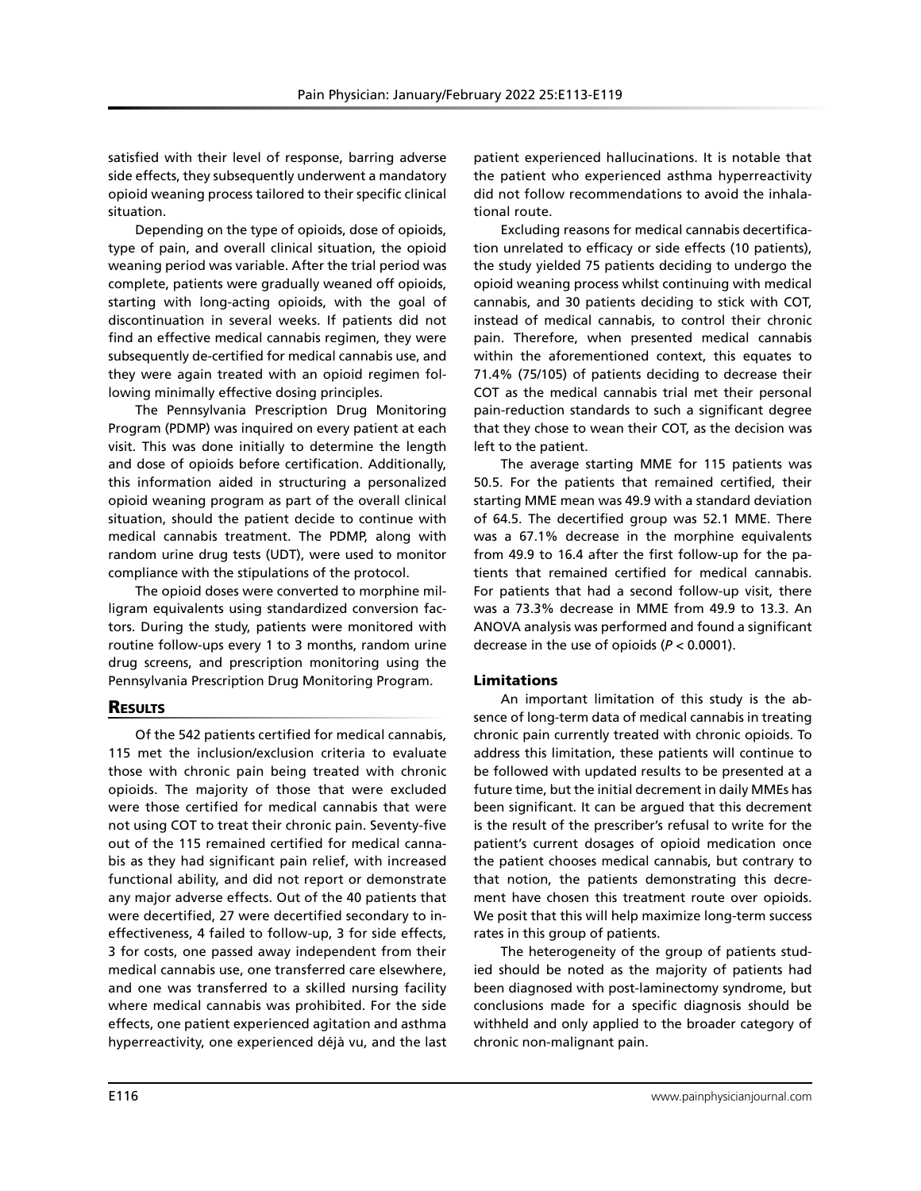satisfied with their level of response, barring adverse side effects, they subsequently underwent a mandatory opioid weaning process tailored to their specific clinical situation.

Depending on the type of opioids, dose of opioids, type of pain, and overall clinical situation, the opioid weaning period was variable. After the trial period was complete, patients were gradually weaned off opioids, starting with long-acting opioids, with the goal of discontinuation in several weeks. If patients did not find an effective medical cannabis regimen, they were subsequently de-certified for medical cannabis use, and they were again treated with an opioid regimen following minimally effective dosing principles.

The Pennsylvania Prescription Drug Monitoring Program (PDMP) was inquired on every patient at each visit. This was done initially to determine the length and dose of opioids before certification. Additionally, this information aided in structuring a personalized opioid weaning program as part of the overall clinical situation, should the patient decide to continue with medical cannabis treatment. The PDMP, along with random urine drug tests (UDT), were used to monitor compliance with the stipulations of the protocol.

The opioid doses were converted to morphine milligram equivalents using standardized conversion factors. During the study, patients were monitored with routine follow-ups every 1 to 3 months, random urine drug screens, and prescription monitoring using the Pennsylvania Prescription Drug Monitoring Program.

# **RESULTS**

Of the 542 patients certified for medical cannabis, 115 met the inclusion/exclusion criteria to evaluate those with chronic pain being treated with chronic opioids. The majority of those that were excluded were those certified for medical cannabis that were not using COT to treat their chronic pain. Seventy-five out of the 115 remained certified for medical cannabis as they had significant pain relief, with increased functional ability, and did not report or demonstrate any major adverse effects. Out of the 40 patients that were decertified, 27 were decertified secondary to ineffectiveness, 4 failed to follow-up, 3 for side effects, 3 for costs, one passed away independent from their medical cannabis use, one transferred care elsewhere, and one was transferred to a skilled nursing facility where medical cannabis was prohibited. For the side effects, one patient experienced agitation and asthma hyperreactivity, one experienced déjà vu, and the last

patient experienced hallucinations. It is notable that the patient who experienced asthma hyperreactivity did not follow recommendations to avoid the inhalational route.

Excluding reasons for medical cannabis decertification unrelated to efficacy or side effects (10 patients), the study yielded 75 patients deciding to undergo the opioid weaning process whilst continuing with medical cannabis, and 30 patients deciding to stick with COT, instead of medical cannabis, to control their chronic pain. Therefore, when presented medical cannabis within the aforementioned context, this equates to 71.4% (75/105) of patients deciding to decrease their COT as the medical cannabis trial met their personal pain-reduction standards to such a significant degree that they chose to wean their COT, as the decision was left to the patient.

The average starting MME for 115 patients was 50.5. For the patients that remained certified, their starting MME mean was 49.9 with a standard deviation of 64.5. The decertified group was 52.1 MME. There was a 67.1% decrease in the morphine equivalents from 49.9 to 16.4 after the first follow-up for the patients that remained certified for medical cannabis. For patients that had a second follow-up visit, there was a 73.3% decrease in MME from 49.9 to 13.3. An ANOVA analysis was performed and found a significant decrease in the use of opioids (*P* < 0.0001).

#### Limitations

An important limitation of this study is the absence of long-term data of medical cannabis in treating chronic pain currently treated with chronic opioids. To address this limitation, these patients will continue to be followed with updated results to be presented at a future time, but the initial decrement in daily MMEs has been significant. It can be argued that this decrement is the result of the prescriber's refusal to write for the patient's current dosages of opioid medication once the patient chooses medical cannabis, but contrary to that notion, the patients demonstrating this decrement have chosen this treatment route over opioids. We posit that this will help maximize long-term success rates in this group of patients.

The heterogeneity of the group of patients studied should be noted as the majority of patients had been diagnosed with post-laminectomy syndrome, but conclusions made for a specific diagnosis should be withheld and only applied to the broader category of chronic non-malignant pain.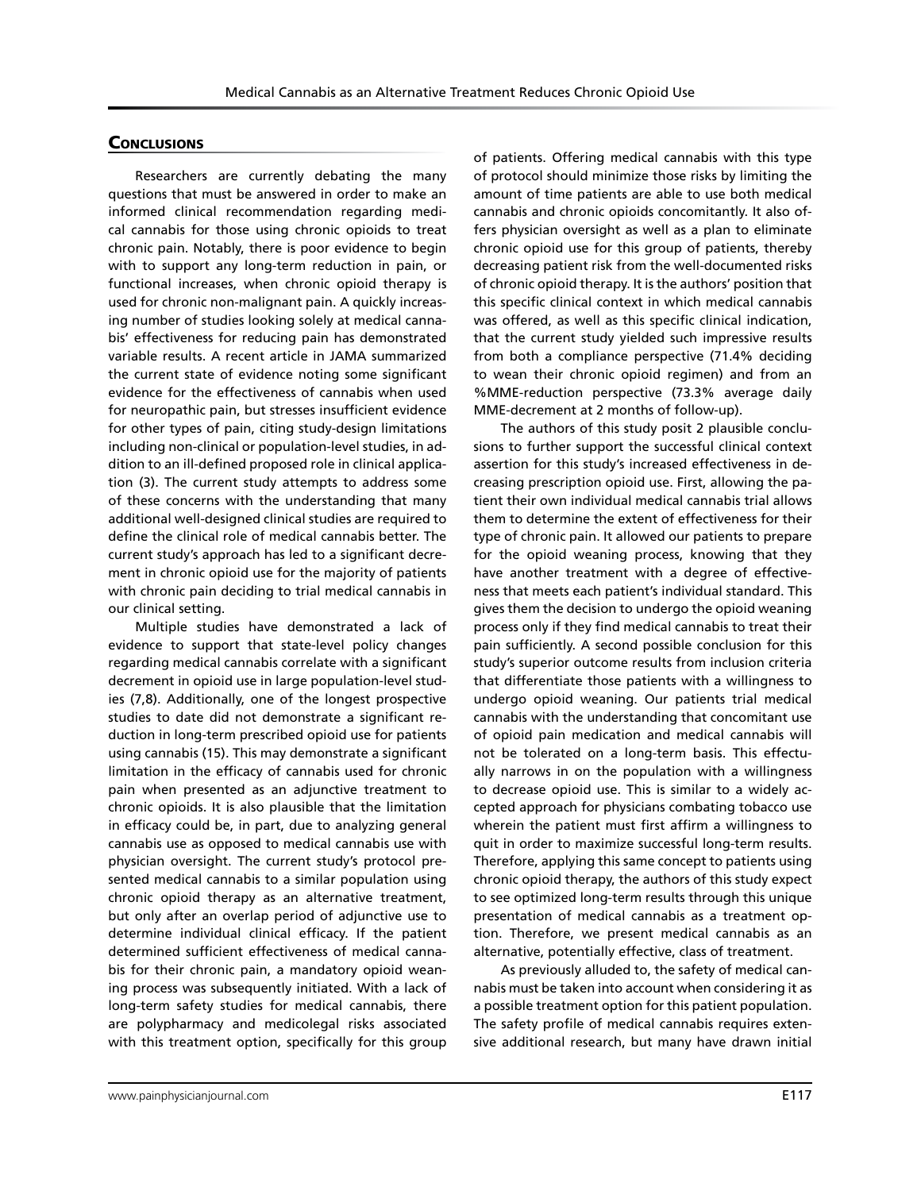#### **CONCLUSIONS**

Researchers are currently debating the many questions that must be answered in order to make an informed clinical recommendation regarding medical cannabis for those using chronic opioids to treat chronic pain. Notably, there is poor evidence to begin with to support any long-term reduction in pain, or functional increases, when chronic opioid therapy is used for chronic non-malignant pain. A quickly increasing number of studies looking solely at medical cannabis' effectiveness for reducing pain has demonstrated variable results. A recent article in JAMA summarized the current state of evidence noting some significant evidence for the effectiveness of cannabis when used for neuropathic pain, but stresses insufficient evidence for other types of pain, citing study-design limitations including non-clinical or population-level studies, in addition to an ill-defined proposed role in clinical application (3). The current study attempts to address some of these concerns with the understanding that many additional well-designed clinical studies are required to define the clinical role of medical cannabis better. The current study's approach has led to a significant decrement in chronic opioid use for the majority of patients with chronic pain deciding to trial medical cannabis in our clinical setting.

Multiple studies have demonstrated a lack of evidence to support that state-level policy changes regarding medical cannabis correlate with a significant decrement in opioid use in large population-level studies (7,8). Additionally, one of the longest prospective studies to date did not demonstrate a significant reduction in long-term prescribed opioid use for patients using cannabis (15). This may demonstrate a significant limitation in the efficacy of cannabis used for chronic pain when presented as an adjunctive treatment to chronic opioids. It is also plausible that the limitation in efficacy could be, in part, due to analyzing general cannabis use as opposed to medical cannabis use with physician oversight. The current study's protocol presented medical cannabis to a similar population using chronic opioid therapy as an alternative treatment, but only after an overlap period of adjunctive use to determine individual clinical efficacy. If the patient determined sufficient effectiveness of medical cannabis for their chronic pain, a mandatory opioid weaning process was subsequently initiated. With a lack of long-term safety studies for medical cannabis, there are polypharmacy and medicolegal risks associated with this treatment option, specifically for this group

of patients. Offering medical cannabis with this type of protocol should minimize those risks by limiting the amount of time patients are able to use both medical cannabis and chronic opioids concomitantly. It also offers physician oversight as well as a plan to eliminate chronic opioid use for this group of patients, thereby decreasing patient risk from the well-documented risks of chronic opioid therapy. It is the authors' position that this specific clinical context in which medical cannabis was offered, as well as this specific clinical indication, that the current study yielded such impressive results from both a compliance perspective (71.4% deciding to wean their chronic opioid regimen) and from an %MME-reduction perspective (73.3% average daily MME-decrement at 2 months of follow-up).

The authors of this study posit 2 plausible conclusions to further support the successful clinical context assertion for this study's increased effectiveness in decreasing prescription opioid use. First, allowing the patient their own individual medical cannabis trial allows them to determine the extent of effectiveness for their type of chronic pain. It allowed our patients to prepare for the opioid weaning process, knowing that they have another treatment with a degree of effectiveness that meets each patient's individual standard. This gives them the decision to undergo the opioid weaning process only if they find medical cannabis to treat their pain sufficiently. A second possible conclusion for this study's superior outcome results from inclusion criteria that differentiate those patients with a willingness to undergo opioid weaning. Our patients trial medical cannabis with the understanding that concomitant use of opioid pain medication and medical cannabis will not be tolerated on a long-term basis. This effectually narrows in on the population with a willingness to decrease opioid use. This is similar to a widely accepted approach for physicians combating tobacco use wherein the patient must first affirm a willingness to quit in order to maximize successful long-term results. Therefore, applying this same concept to patients using chronic opioid therapy, the authors of this study expect to see optimized long-term results through this unique presentation of medical cannabis as a treatment option. Therefore, we present medical cannabis as an alternative, potentially effective, class of treatment.

As previously alluded to, the safety of medical cannabis must be taken into account when considering it as a possible treatment option for this patient population. The safety profile of medical cannabis requires extensive additional research, but many have drawn initial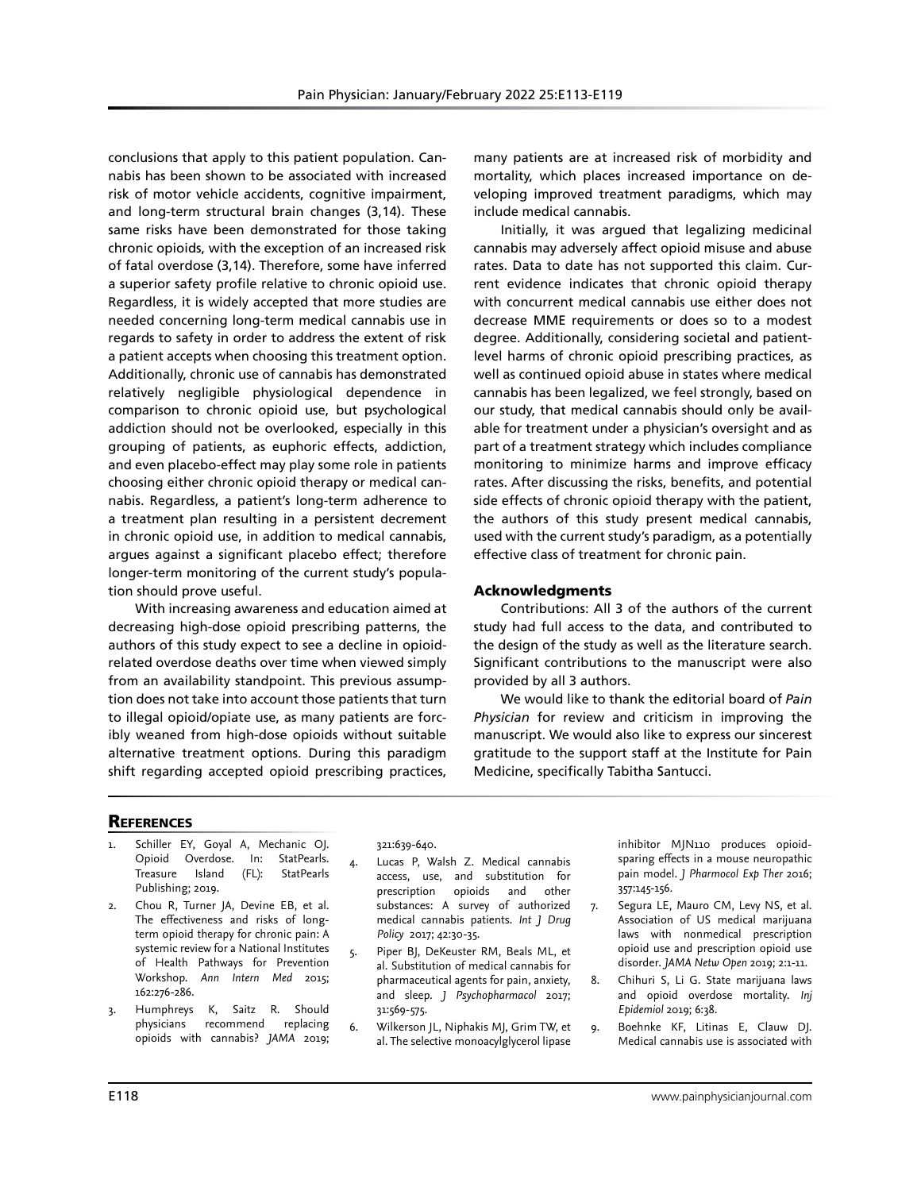conclusions that apply to this patient population. Cannabis has been shown to be associated with increased risk of motor vehicle accidents, cognitive impairment, and long-term structural brain changes (3,14). These same risks have been demonstrated for those taking chronic opioids, with the exception of an increased risk of fatal overdose (3,14). Therefore, some have inferred a superior safety profile relative to chronic opioid use. Regardless, it is widely accepted that more studies are needed concerning long-term medical cannabis use in regards to safety in order to address the extent of risk a patient accepts when choosing this treatment option. Additionally, chronic use of cannabis has demonstrated relatively negligible physiological dependence in comparison to chronic opioid use, but psychological addiction should not be overlooked, especially in this grouping of patients, as euphoric effects, addiction, and even placebo-effect may play some role in patients choosing either chronic opioid therapy or medical cannabis. Regardless, a patient's long-term adherence to a treatment plan resulting in a persistent decrement in chronic opioid use, in addition to medical cannabis, argues against a significant placebo effect; therefore longer-term monitoring of the current study's population should prove useful.

With increasing awareness and education aimed at decreasing high-dose opioid prescribing patterns, the authors of this study expect to see a decline in opioidrelated overdose deaths over time when viewed simply from an availability standpoint. This previous assumption does not take into account those patients that turn to illegal opioid/opiate use, as many patients are forcibly weaned from high-dose opioids without suitable alternative treatment options. During this paradigm shift regarding accepted opioid prescribing practices,

many patients are at increased risk of morbidity and mortality, which places increased importance on developing improved treatment paradigms, which may include medical cannabis.

Initially, it was argued that legalizing medicinal cannabis may adversely affect opioid misuse and abuse rates. Data to date has not supported this claim. Current evidence indicates that chronic opioid therapy with concurrent medical cannabis use either does not decrease MME requirements or does so to a modest degree. Additionally, considering societal and patientlevel harms of chronic opioid prescribing practices, as well as continued opioid abuse in states where medical cannabis has been legalized, we feel strongly, based on our study, that medical cannabis should only be available for treatment under a physician's oversight and as part of a treatment strategy which includes compliance monitoring to minimize harms and improve efficacy rates. After discussing the risks, benefits, and potential side effects of chronic opioid therapy with the patient, the authors of this study present medical cannabis, used with the current study's paradigm, as a potentially effective class of treatment for chronic pain.

#### Acknowledgments

Contributions: All 3 of the authors of the current study had full access to the data, and contributed to the design of the study as well as the literature search. Significant contributions to the manuscript were also provided by all 3 authors.

We would like to thank the editorial board of *Pain Physician* for review and criticism in improving the manuscript. We would also like to express our sincerest gratitude to the support staff at the Institute for Pain Medicine, specifically Tabitha Santucci.

#### **REFERENCES**

- Schiller EY, Goyal A, Mechanic OJ. Opioid Overdose. In: StatPearls. Treasure Island (FL): StatPearls Publishing; 2019.
- 2. Chou R, Turner JA, Devine EB, et al. The effectiveness and risks of longterm opioid therapy for chronic pain: A systemic review for a National Institutes of Health Pathways for Prevention Workshop. *Ann Intern Med* 2015; 162:276-286.
- 3. Humphreys K, Saitz R. Should physicians recommend replacing opioids with cannabis? *JAMA* 2019;

321:639-640.

- 4. Lucas P, Walsh Z. Medical cannabis access, use, and substitution for prescription opioids and other substances: A survey of authorized medical cannabis patients. *Int J Drug Policy* 2017; 42:30-35.
- 5. Piper BJ, DeKeuster RM, Beals ML, et al. Substitution of medical cannabis for pharmaceutical agents for pain, anxiety, and sleep. *J Psychopharmacol* 2017; 31:569-575.
- 6. Wilkerson JL, Niphakis MJ, Grim TW, et al. The selective monoacylglycerol lipase

inhibitor MJN110 produces opioidsparing effects in a mouse neuropathic pain model. *J Pharmocol Exp Ther* 2016; 357:145-156.

- 7. Segura LE, Mauro CM, Levy NS, et al. Association of US medical marijuana laws with nonmedical prescription opioid use and prescription opioid use disorder. *JAMA Netw Open* 2019; 2:1-11.
- 8. Chihuri S, Li G. State marijuana laws and opioid overdose mortality. *Inj Epidemiol* 2019; 6:38.
- 9. Boehnke KF, Litinas E, Clauw DJ. Medical cannabis use is associated with